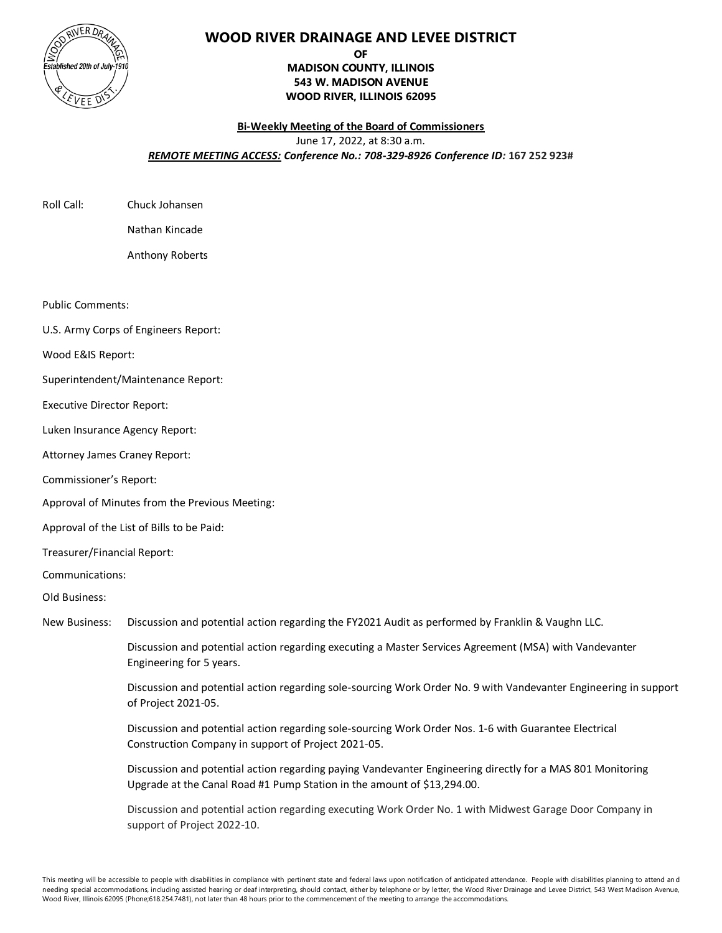

## **WOOD RIVER DRAINAGE AND LEVEE DISTRICT**

## **OF MADISON COUNTY, ILLINOIS 543 W. MADISON AVENUE WOOD RIVER, ILLINOIS 62095**

## **Bi-Weekly Meeting of the Board of Commissioners** June 17, 2022, at 8:30 a.m. *REMOTE MEETING ACCESS: Conference No.: 708-329-8926 Conference ID:* **167 252 923#**

| Roll Call: |
|------------|
|            |

Chuck Johansen Nathan Kincade

Anthony Roberts

Public Comments:

U.S. Army Corps of Engineers Report:

Wood E&IS Report:

Superintendent/Maintenance Report:

Executive Director Report:

Luken Insurance Agency Report:

Attorney James Craney Report:

Commissioner's Report:

Approval of Minutes from the Previous Meeting:

Approval of the List of Bills to be Paid:

Treasurer/Financial Report:

Communications:

Old Business:

New Business: Discussion and potential action regarding the FY2021 Audit as performed by Franklin & Vaughn LLC.

Discussion and potential action regarding executing a Master Services Agreement (MSA) with Vandevanter Engineering for 5 years.

Discussion and potential action regarding sole-sourcing Work Order No. 9 with Vandevanter Engineering in support of Project 2021-05.

Discussion and potential action regarding sole-sourcing Work Order Nos. 1-6 with Guarantee Electrical Construction Company in support of Project 2021-05.

Discussion and potential action regarding paying Vandevanter Engineering directly for a MAS 801 Monitoring Upgrade at the Canal Road #1 Pump Station in the amount of \$13,294.00.

Discussion and potential action regarding executing Work Order No. 1 with Midwest Garage Door Company in support of Project 2022-10.